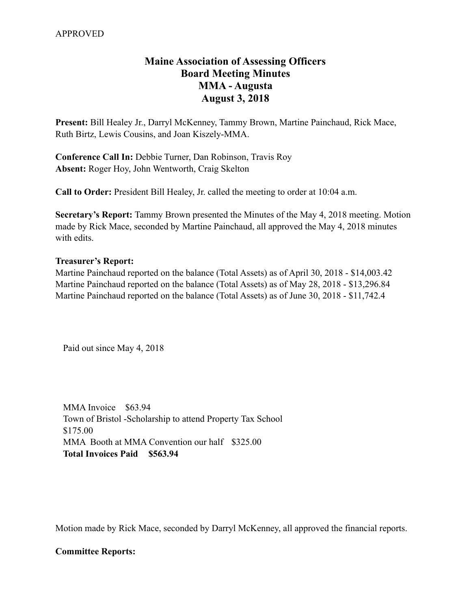# **Maine Association of Assessing Officers Board Meeting Minutes MMA - Augusta August 3, 2018**

**Present:** Bill Healey Jr., Darryl McKenney, Tammy Brown, Martine Painchaud, Rick Mace, Ruth Birtz, Lewis Cousins, and Joan Kiszely-MMA.

**Conference Call In:** Debbie Turner, Dan Robinson, Travis Roy **Absent:** Roger Hoy, John Wentworth, Craig Skelton

**Call to Order:** President Bill Healey, Jr. called the meeting to order at 10:04 a.m.

**Secretary's Report:** Tammy Brown presented the Minutes of the May 4, 2018 meeting. Motion made by Rick Mace, seconded by Martine Painchaud, all approved the May 4, 2018 minutes with edits.

### **Treasurer's Report:**

Martine Painchaud reported on the balance (Total Assets) as of April 30, 2018 - \$14,003.42 Martine Painchaud reported on the balance (Total Assets) as of May 28, 2018 - \$13,296.84 Martine Painchaud reported on the balance (Total Assets) as of June 30, 2018 - \$11,742.4

Paid out since May 4, 2018

MMA Invoice \$63.94 Town of Bristol -Scholarship to attend Property Tax School \$175.00 MMA Booth at MMA Convention our half \$325.00 **Total Invoices Paid \$563.94** 

Motion made by Rick Mace, seconded by Darryl McKenney, all approved the financial reports.

#### **Committee Reports:**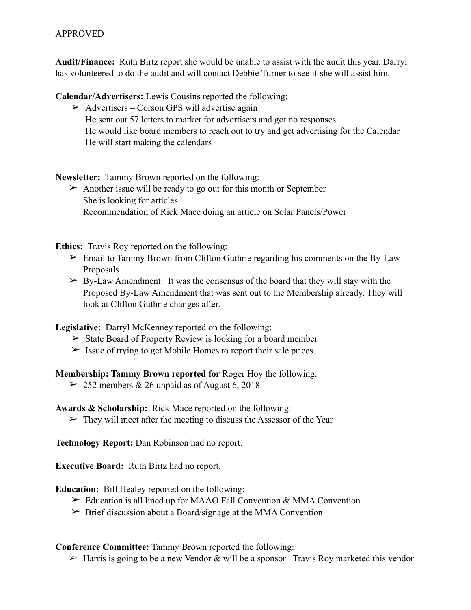## APPROVED

**Audit/Finance:** Ruth Birtz report she would be unable to assist with the audit this year. Darryl has volunteered to do the audit and will contact Debbie Turner to see if she will assist him.

**Calendar/Advertisers:** Lewis Cousins reported the following:

 $\triangleright$  Advertisers – Corson GPS will advertise again He sent out 57 letters to market for advertisers and got no responses He would like board members to reach out to try and get advertising for the Calendar He will start making the calendars

**Newsletter:** Tammy Brown reported on the following:

 $\triangleright$  Another issue will be ready to go out for this month or September She is looking for articles Recommendation of Rick Mace doing an article on Solar Panels/Power

**Ethics:** Travis Roy reported on the following:

- $\geq$  Email to Tammy Brown from Clifton Guthrie regarding his comments on the By-Law Proposals
- $\triangleright$  By-Law Amendment: It was the consensus of the board that they will stay with the Proposed By-Law Amendment that was sent out to the Membership already. They will look at Clifton Guthrie changes after.

**Legislative:** Darryl McKenney reported on the following:

- $\triangleright$  State Board of Property Review is looking for a board member
- $\geq$  Issue of trying to get Mobile Homes to report their sale prices.

**Membership: Tammy Brown reported for** Roger Hoy the following:

 $>$  252 members & 26 unpaid as of August 6, 2018.

**Awards & Scholarship:** Rick Mace reported on the following:

 $\triangleright$  They will meet after the meeting to discuss the Assessor of the Year

**Technology Report:** Dan Robinson had no report.

**Executive Board:** Ruth Birtz had no report.

**Education:** Bill Healey reported on the following:

- $\triangleright$  Education is all lined up for MAAO Fall Convention & MMA Convention
- $\triangleright$  Brief discussion about a Board/signage at the MMA Convention

**Conference Committee:** Tammy Brown reported the following:

 $\triangleright$  Harris is going to be a new Vendor & will be a sponsor– Travis Roy marketed this vendor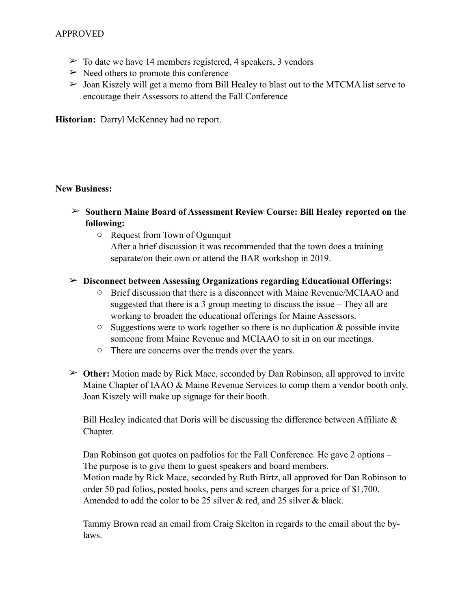## APPROVED

- $\geq$  To date we have 14 members registered, 4 speakers, 3 vendors
- $\triangleright$  Need others to promote this conference
- $\triangleright$  Joan Kiszely will get a memo from Bill Healey to blast out to the MTCMA list serve to encourage their Assessors to attend the Fall Conference

**Historian:** Darryl McKenney had no report.

### **New Business:**

- ➢ **Southern Maine Board of Assessment Review Course: Bill Healey reported on the following:** 
	- o Request from Town of Ogunquit

After a brief discussion it was recommended that the town does a training separate/on their own or attend the BAR workshop in 2019.

### ➢ **Disconnect between Assessing Organizations regarding Educational Offerings:**

- o Brief discussion that there is a disconnect with Maine Revenue/MCIAAO and suggested that there is a 3 group meeting to discuss the issue – They all are working to broaden the educational offerings for Maine Assessors.
- $\circ$  Suggestions were to work together so there is no duplication & possible invite someone from Maine Revenue and MCIAAO to sit in on our meetings.
- o There are concerns over the trends over the years.
- ➢ **Other:** Motion made by Rick Mace, seconded by Dan Robinson, all approved to invite Maine Chapter of IAAO & Maine Revenue Services to comp them a vendor booth only. Joan Kiszely will make up signage for their booth.

Bill Healey indicated that Doris will be discussing the difference between Affiliate  $\&$ Chapter.

Dan Robinson got quotes on padfolios for the Fall Conference. He gave 2 options – The purpose is to give them to guest speakers and board members. Motion made by Rick Mace, seconded by Ruth Birtz, all approved for Dan Robinson to order 50 pad folios, posted books, pens and screen charges for a price of \$1,700. Amended to add the color to be 25 silver & red, and 25 silver & black.

Tammy Brown read an email from Craig Skelton in regards to the email about the bylaws.